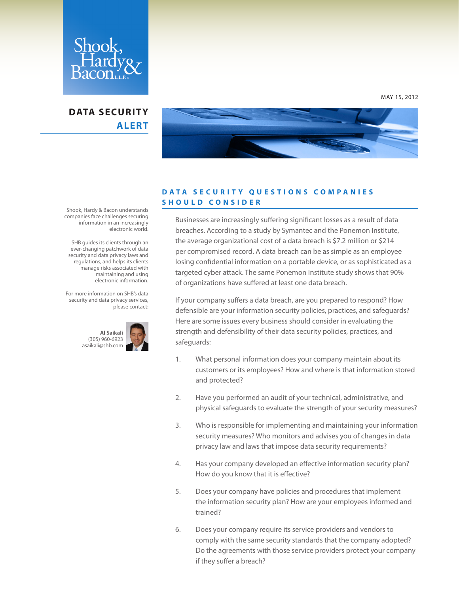

## **DATA SECURITY ALERT**



## **DATA SECURITY QUESTIONS COMPANIES SHOULD CONSIDER**

Businesses are increasingly suffering significant losses as a result of data breaches. According to a study by Symantec and the Ponemon Institute, the average organizational cost of a data breach is \$7.2 million or \$214 per compromised record. A data breach can be as simple as an employee losing confidential information on a portable device, or as sophisticated as a targeted cyber attack. The same Ponemon Institute study shows that 90% of organizations have suffered at least one data breach.

If your company suffers a data breach, are you prepared to respond? How defensible are your information security policies, practices, and safeguards? Here are some issues every business should consider in evaluating the strength and defensibility of their data security policies, practices, and safeguards:

- 1. What personal information does your company maintain about its customers or its employees? How and where is that information stored and protected?
- 2. Have you performed an audit of your technical, administrative, and physical safeguards to evaluate the strength of your security measures?
- 3. Who is responsible for implementing and maintaining your information security measures? Who monitors and advises you of changes in data privacy law and laws that impose data security requirements?
- 4. Has your company developed an effective information security plan? How do you know that it is effective?
- 5. Does your company have policies and procedures that implement the information security plan? How are your employees informed and trained?
- 6. Does your company require its service providers and vendors to comply with the same security standards that the company adopted? Do the agreements with those service providers protect your company if they suffer a breach?

Shook, Hardy & Bacon understands companies face challenges securing information in an increasingly electronic world.

 SHB guides its clients through an ever-changing patchwork of data security and data privacy laws and regulations, and helps its clients manage risks associated with maintaining and using electronic information.

For more information on SHB's data security and data privacy services, please contact:



MAY 15, 2012